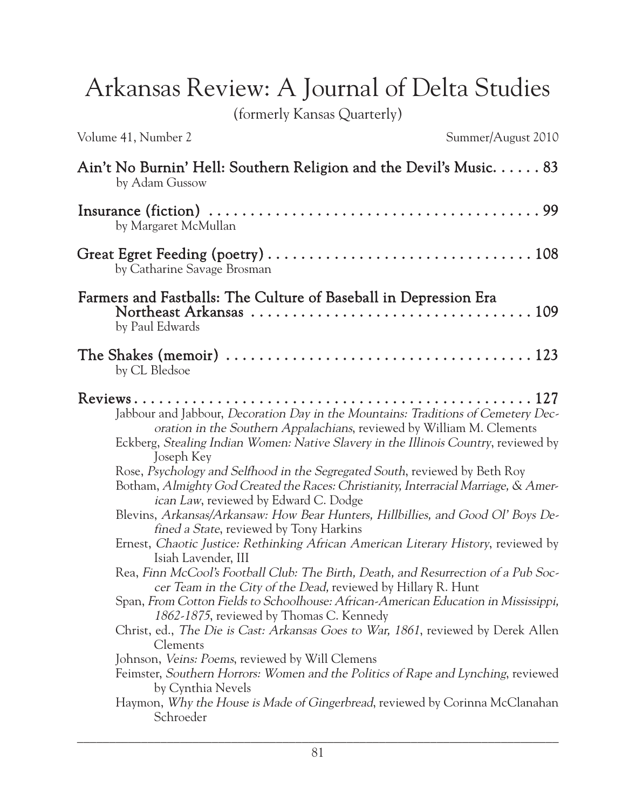Arkansas Review: A Journal of Delta Studies

(formerly Kansas Quarterly)

|  |  | Volume 41, Number 2 |  |
|--|--|---------------------|--|
|  |  |                     |  |

| Ain't No Burnin' Hell: Southern Religion and the Devil's Music. $\dots$ . 83<br>by Adam Gussow                                                                                                                                                                                                                                                                                                                                                                                                                                                                                                                                                                                                                                                                                                                                                                                                                                                                                                                                                                                                                                                                                                                                                                                                                                                                                          |
|-----------------------------------------------------------------------------------------------------------------------------------------------------------------------------------------------------------------------------------------------------------------------------------------------------------------------------------------------------------------------------------------------------------------------------------------------------------------------------------------------------------------------------------------------------------------------------------------------------------------------------------------------------------------------------------------------------------------------------------------------------------------------------------------------------------------------------------------------------------------------------------------------------------------------------------------------------------------------------------------------------------------------------------------------------------------------------------------------------------------------------------------------------------------------------------------------------------------------------------------------------------------------------------------------------------------------------------------------------------------------------------------|
| by Margaret McMullan                                                                                                                                                                                                                                                                                                                                                                                                                                                                                                                                                                                                                                                                                                                                                                                                                                                                                                                                                                                                                                                                                                                                                                                                                                                                                                                                                                    |
| by Catharine Savage Brosman                                                                                                                                                                                                                                                                                                                                                                                                                                                                                                                                                                                                                                                                                                                                                                                                                                                                                                                                                                                                                                                                                                                                                                                                                                                                                                                                                             |
| Farmers and Fastballs: The Culture of Baseball in Depression Era<br>by Paul Edwards                                                                                                                                                                                                                                                                                                                                                                                                                                                                                                                                                                                                                                                                                                                                                                                                                                                                                                                                                                                                                                                                                                                                                                                                                                                                                                     |
| by CL Bledsoe                                                                                                                                                                                                                                                                                                                                                                                                                                                                                                                                                                                                                                                                                                                                                                                                                                                                                                                                                                                                                                                                                                                                                                                                                                                                                                                                                                           |
| Jabbour and Jabbour, Decoration Day in the Mountains: Traditions of Cemetery Dec-<br>oration in the Southern Appalachians, reviewed by William M. Clements<br>Eckberg, Stealing Indian Women: Native Slavery in the Illinois Country, reviewed by<br>Joseph Key<br>Rose, Psychology and Selfhood in the Segregated South, reviewed by Beth Roy<br>Botham, Almighty God Created the Races: Christianity, Interracial Marriage, & Amer-<br>ican Law, reviewed by Edward C. Dodge<br>Blevins, Arkansas/Arkansaw: How Bear Hunters, Hillbillies, and Good Ol' Boys De-<br>fined a State, reviewed by Tony Harkins<br>Ernest, Chaotic Justice: Rethinking African American Literary History, reviewed by<br>Isiah Lavender, III<br>Rea, Finn McCool's Football Club: The Birth, Death, and Resurrection of a Pub Soc-<br>cer Team in the City of the Dead, reviewed by Hillary R. Hunt<br>Span, From Cotton Fields to Schoolhouse: African-American Education in Mississippi,<br>1862-1875, reviewed by Thomas C. Kennedy<br>Christ, ed., The Die is Cast: Arkansas Goes to War, 1861, reviewed by Derek Allen<br>Clements<br>Johnson, <i>Veins: Poems</i> , reviewed by Will Clemens<br>Feimster, Southern Horrors: Women and the Politics of Rape and Lynching, reviewed<br>by Cynthia Nevels<br>Haymon, Why the House is Made of Gingerbread, reviewed by Corinna McClanahan<br>Schroeder |